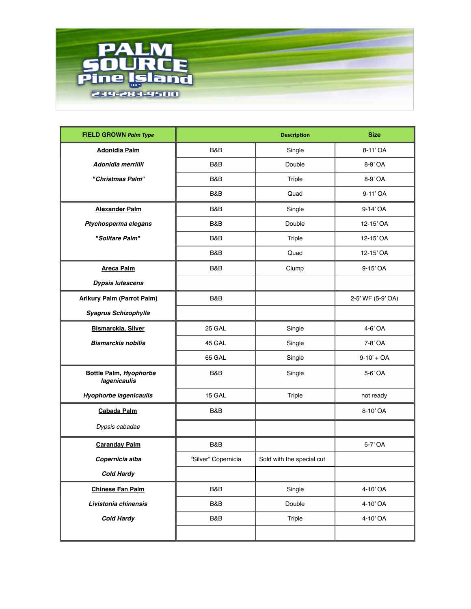

| <b>FIELD GROWN Palm Type</b>           |                     | <b>Size</b>               |                   |
|----------------------------------------|---------------------|---------------------------|-------------------|
| <b>Adonidia Palm</b>                   | B&B                 | Single                    | 8-11'OA           |
| Adonidia merrillii                     | B&B                 | Double                    | 8-9' OA           |
| "Christmas Palm"                       | B&B                 | Triple                    | 8-9' OA           |
|                                        | B&B                 | Quad                      | 9-11'OA           |
| <b>Alexander Palm</b>                  | B&B                 | Single                    | 9-14' OA          |
| Ptychosperma elegans                   | B&B                 | Double                    | 12-15' OA         |
| "Solitare Palm"                        | B&B<br>Triple       |                           | 12-15' OA         |
|                                        | Quad<br>B&B         |                           | 12-15' OA         |
| <b>Areca Palm</b>                      | B&B<br>Clump        |                           | 9-15' OA          |
| <b>Dypsis lutescens</b>                |                     |                           |                   |
| <b>Arikury Palm (Parrot Palm)</b>      | B&B                 |                           | 2-5' WF (5-9' OA) |
| Syagrus Schizophylla                   |                     |                           |                   |
| Bismarckia, Silver                     | 25 GAL              | Single                    | 4-6' OA           |
| <b>Bismarckia nobilis</b>              | 45 GAL              | Single                    | 7-8' OA           |
|                                        | 65 GAL              | Single                    | $9-10' + OA$      |
| Bottle Palm, Hyophorbe<br>lagenicaulis | B&B                 | Single                    | 5-6' OA           |
| <b>Hyophorbe lagenicaulis</b>          | 15 GAL              | Triple                    | not ready         |
| Cabada Palm                            | B&B                 |                           | 8-10'OA           |
| Dypsis cabadae                         |                     |                           |                   |
| <b>Caranday Palm</b>                   | <b>B&amp;B</b>      |                           | 5-7' OA           |
| Copernicia alba                        | "Silver" Copernicia | Sold with the special cut |                   |
| <b>Cold Hardy</b>                      |                     |                           |                   |
| <b>Chinese Fan Palm</b>                | B&B                 | Single                    | 4-10'OA           |
| Livistonia chinensis                   | B&B                 | Double                    | 4-10'OA           |
| <b>Cold Hardy</b>                      | B&B                 | Triple                    | 4-10'OA           |
|                                        |                     |                           |                   |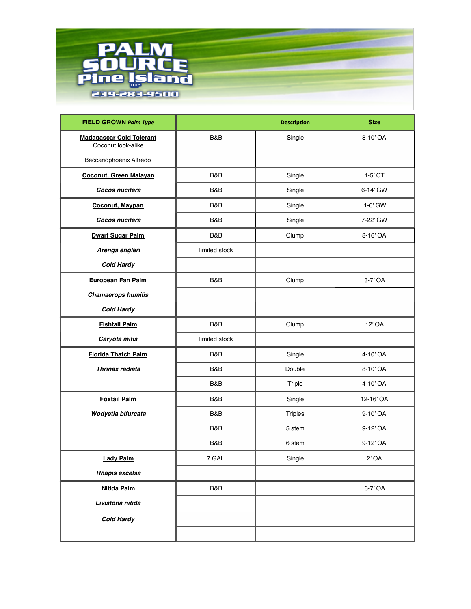

| <b>FIELD GROWN Palm Type</b>                          |               | <b>Description</b> | <b>Size</b> |
|-------------------------------------------------------|---------------|--------------------|-------------|
| <b>Madagascar Cold Tolerant</b><br>Coconut look-alike | B&B           | Single             | 8-10'OA     |
| Beccariophoenix Alfredo                               |               |                    |             |
| <b>Coconut, Green Malayan</b>                         | B&B           | Single             | $1-5'$ CT   |
| Cocos nucifera                                        | B&B           | Single             | 6-14' GW    |
| <b>Coconut, Maypan</b>                                | B&B           | Single             | $1-6'$ GW   |
| Cocos nucifera                                        | B&B           | Single             | 7-22' GW    |
| <b>Dwarf Sugar Palm</b>                               | B&B<br>Clump  |                    | 8-16' OA    |
| Arenga engleri                                        | limited stock |                    |             |
| <b>Cold Hardy</b>                                     |               |                    |             |
| European Fan Palm                                     | B&B<br>Clump  |                    | 3-7' OA     |
| <b>Chamaerops humilis</b>                             |               |                    |             |
| <b>Cold Hardy</b>                                     |               |                    |             |
| <b>Fishtail Palm</b>                                  | B&B           | Clump              | 12' OA      |
| Caryota mitis                                         | limited stock |                    |             |
| <b>Florida Thatch Palm</b>                            | B&B           | Single             | 4-10' OA    |
| Thrinax radiata                                       | B&B           | Double             | 8-10'OA     |
|                                                       | B&B           | Triple             | 4-10'OA     |
| <b>Foxtail Palm</b>                                   | B&B           | Single             | 12-16' OA   |
| Wodyetia bifurcata                                    | B&B           | <b>Triples</b>     | 9-10'OA     |
|                                                       | B&B           | 5 stem             | 9-12' OA    |
|                                                       | B&B           | 6 stem             | 9-12' OA    |
| <b>Lady Palm</b>                                      | 7 GAL         | Single             | $2'$ OA     |
| Rhapis excelsa                                        |               |                    |             |
| Nitida Palm                                           | B&B           |                    | 6-7' OA     |
| Livistona nitida                                      |               |                    |             |
| <b>Cold Hardy</b>                                     |               |                    |             |
|                                                       |               |                    |             |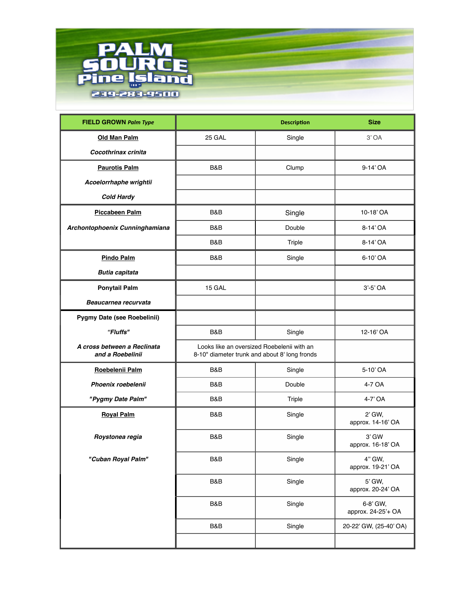

| <b>FIELD GROWN Palm Type</b>                    |                                                                                             | <b>Size</b> |                                |
|-------------------------------------------------|---------------------------------------------------------------------------------------------|-------------|--------------------------------|
| Old Man Palm                                    | 25 GAL                                                                                      | Single      | $3'$ OA                        |
| Cocothrinax crinita                             |                                                                                             |             |                                |
| <b>Paurotis Palm</b>                            | <b>B&amp;B</b>                                                                              | Clump       | 9-14' OA                       |
| Acoelorrhaphe wrightii                          |                                                                                             |             |                                |
| <b>Cold Hardy</b>                               |                                                                                             |             |                                |
| Piccabeen Palm                                  | B&B                                                                                         | Single      | 10-18' OA                      |
| Archontophoenix Cunninghamiana                  | <b>B&amp;B</b>                                                                              | Double      | 8-14' OA                       |
|                                                 | <b>B&amp;B</b>                                                                              | Triple      | 8-14' OA                       |
| <b>Pindo Palm</b>                               | <b>B&amp;B</b>                                                                              | Single      | 6-10'OA                        |
| <b>Butia capitata</b>                           |                                                                                             |             |                                |
| <b>Ponytail Palm</b>                            | 15 GAL                                                                                      |             | $3'-5'$ OA                     |
| Beaucarnea recurvata                            |                                                                                             |             |                                |
| Pygmy Date (see Roebelinii)                     |                                                                                             |             |                                |
| "Fluffs"                                        | <b>B&amp;B</b>                                                                              | Single      | 12-16' OA                      |
| A cross between a Reclinata<br>and a Roebelinii | Looks like an oversized Roebelenii with an<br>8-10" diameter trunk and about 8' long fronds |             |                                |
| Roebelenii Palm                                 | B&B<br>Single                                                                               |             | 5-10'OA                        |
| Phoenix roebelenii                              | <b>B&amp;B</b>                                                                              | Double      | 4-7 OA                         |
| "Pygmy Date Palm"                               | <b>B&amp;B</b>                                                                              | Triple      | 4-7' OA                        |
| <b>Royal Palm</b>                               | <b>B&amp;B</b>                                                                              | Single      | 2' GW,<br>approx. 14-16' OA    |
| Roystonea regia                                 | B&B<br>Single                                                                               |             | 3' GW<br>approx. 16-18' OA     |
| "Cuban Royal Palm"                              | B&B                                                                                         | Single      | 4" GW,<br>approx. 19-21' OA    |
|                                                 | B&B                                                                                         | Single      | 5' GW,<br>approx. 20-24' OA    |
|                                                 | B&B                                                                                         | Single      | 6-8' GW,<br>approx. 24-25'+ OA |
|                                                 | B&B                                                                                         | Single      | 20-22' GW, (25-40' OA)         |
|                                                 |                                                                                             |             |                                |